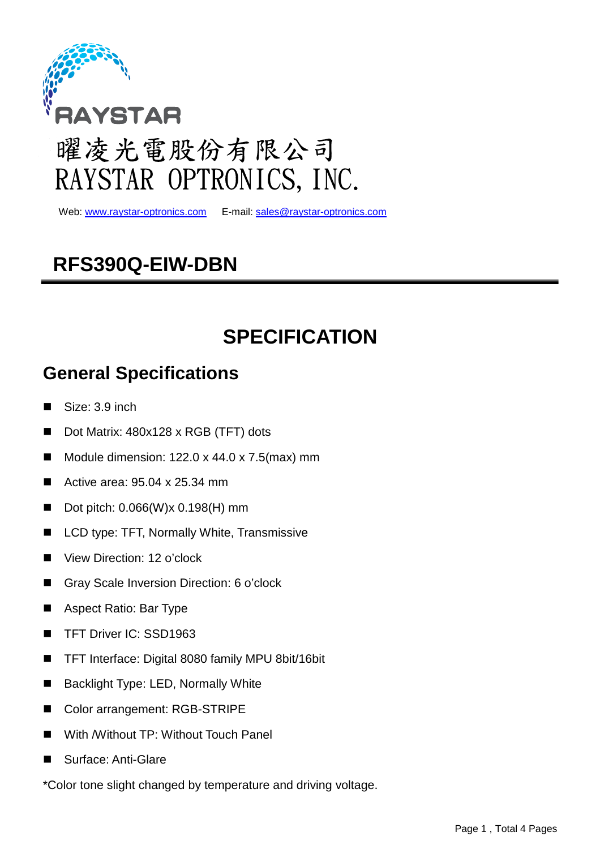

# 曜凌光電股份有限公司 RAYSTAR OPTRONICS, INC.

Web: www.raystar-optronics.com

E-mail: sales@raystar-optronics.com

### **RFS390Q-EIW-DBN**

## **SPECIFICATION**

### **General Specifications**

- Size: 3.9 inch
- Dot Matrix: 480x128 x RGB (TFT) dots
- Module dimension:  $122.0 \times 44.0 \times 7.5$  (max) mm
- Active area:  $95.04 \times 25.34 \text{ mm}$
- Dot pitch:  $0.066(W)x 0.198(H)$  mm
- LCD type: TFT, Normally White, Transmissive
- View Direction: 12 o'clock
- Gray Scale Inversion Direction: 6 o'clock
- Aspect Ratio: Bar Type
- TFT Driver IC: SSD1963
- TFT Interface: Digital 8080 family MPU 8bit/16bit
- Backlight Type: LED, Normally White
- Color arrangement: RGB-STRIPE
- With /Without TP: Without Touch Panel
- Surface: Anti-Glare
- \*Color tone slight changed by temperature and driving voltage.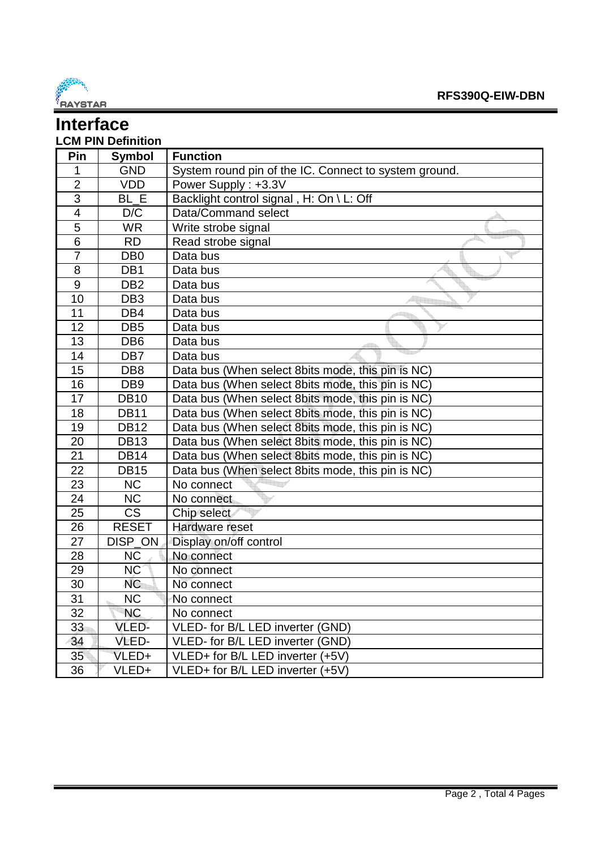

#### **Interface LCM PIN Definition**

| Pin                     | <b>Symbol</b>          | <b>Function</b>                                       |
|-------------------------|------------------------|-------------------------------------------------------|
| 1                       | <b>GND</b>             | System round pin of the IC. Connect to system ground. |
| $\overline{2}$          | <b>VDD</b>             | Power Supply: +3.3V                                   |
| 3                       | BL E                   | Backlight control signal, H: On \ L: Off              |
| $\overline{\mathbf{4}}$ | D/C                    | Data/Command select                                   |
| 5                       | <b>WR</b>              | Write strobe signal                                   |
| $\overline{6}$          | <b>RD</b>              | Read strobe signal                                    |
| $\overline{7}$          | DB <sub>0</sub>        | Data bus                                              |
| 8                       | DB <sub>1</sub>        | Data bus                                              |
| 9                       | DB <sub>2</sub>        | Data bus                                              |
| 10                      | DB <sub>3</sub>        | Data bus                                              |
| 11                      | DB4                    | Data bus                                              |
| 12                      | DB <sub>5</sub>        | Data bus                                              |
| 13                      | DB <sub>6</sub>        | Data bus                                              |
| 14                      | DB7                    | Data bus                                              |
| 15                      | DB <sub>8</sub>        | Data bus (When select 8bits mode, this pin is NC)     |
| 16                      | DB <sub>9</sub>        | Data bus (When select 8bits mode, this pin is NC)     |
| 17                      | <b>DB10</b>            | Data bus (When select 8bits mode, this pin is NC)     |
| 18                      | <b>DB11</b>            | Data bus (When select 8bits mode, this pin is NC)     |
| 19                      | <b>DB12</b>            | Data bus (When select 8bits mode, this pin is NC)     |
| 20                      | <b>DB13</b>            | Data bus (When select 8bits mode, this pin is NC)     |
| 21                      | <b>DB14</b>            | Data bus (When select 8bits mode, this pin is NC)     |
| 22                      | <b>DB15</b>            | Data bus (When select 8bits mode, this pin is NC)     |
| 23                      | <b>NC</b>              | No connect                                            |
| 24                      | <b>NC</b>              | No connect                                            |
| $\overline{25}$         | $\overline{\text{CS}}$ | Chip select                                           |
| 26                      | <b>RESET</b>           | Hardware reset                                        |
| 27                      | DISP ON                | Display on/off control                                |
| 28                      | <b>NC</b>              | No connect                                            |
| 29                      | <b>NC</b>              | No connect                                            |
| 30                      | <b>NC</b>              | No connect                                            |
| $\overline{31}$         | $\overline{\text{NC}}$ | No connect                                            |
| 32                      | <b>NC</b>              | No connect                                            |
| 33                      | VLED-                  | VLED- for B/L LED inverter (GND)                      |
| 34                      | VLED-                  | VLED- for B/L LED inverter (GND)                      |
| 35                      | VLED+                  | VLED+ for B/L LED inverter (+5V)                      |
| 36                      | VLED+                  | VLED+ for B/L LED inverter (+5V)                      |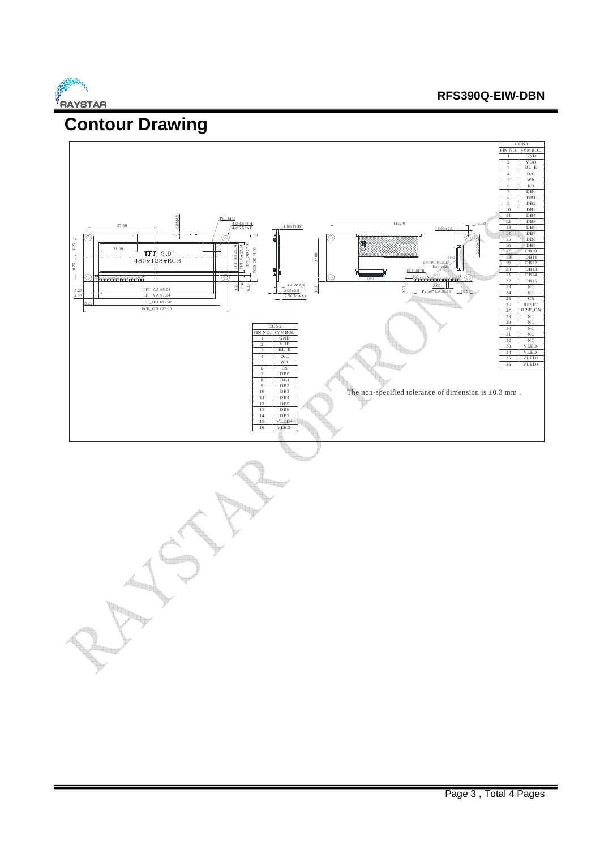

#### **RFS390Q-EIW-DBN**

### **Contour Drawing**